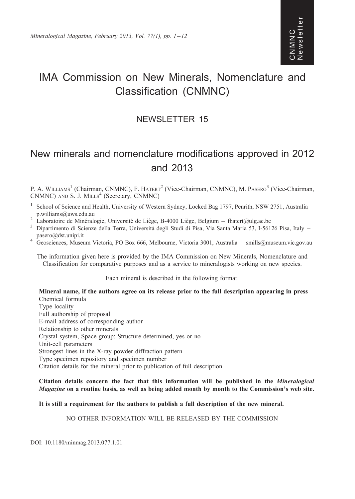# IMA Commission on New Minerals, Nomenclature and Classification (CNMNC)

# NEWSLETTER 15

# New minerals and nomenclature modifications approved in 2012 and 2013

P. A. WILLIAMS<sup>1</sup> (Chairman, CNMNC), F. HATERT<sup>2</sup> (Vice-Chairman, CNMNC), M. PASERO<sup>3</sup> (Vice-Chairman, CNMNC) AND S. J. MILLS<sup>4</sup> (Secretary, CNMNC)

- <sup>1</sup> School of Science and Health, University of Western Sydney, Locked Bag 1797, Penrith, NSW 2751, Australia p.williams@uws.edu.au<br>Laboratoire de Minéralogie, Université de Liège, B-4000 Liège, Belgium – fhatert@ulg.ac.be
- 
- $^2$  Laboratoire de Minéralogie, Université de Liège, B-4000 Liège, Belgium fhatert@ulg.ac.be<br><sup>3</sup> Dipartimento di Scienze della Terra, Università degli Studi di Pisa, Via Santa Maria 53, I-56126 Pisa, Italy –
- pasero@dst.unipi.it<br>4 Geosciences, Museum Victoria, PO Box 666, Melbourne, Victoria 3001, Australia smills@museum.vic.gov.au

The information given here is provided by the IMA Commission on New Minerals, Nomenclature and Classification for comparative purposes and as a service to mineralogists working on new species.

Each mineral is described in the following format:

Mineral name, if the authors agree on its release prior to the full description appearing in press Chemical formula Type locality Full authorship of proposal E-mail address of corresponding author Relationship to other minerals Crystal system, Space group; Structure determined, yes or no Unit-cell parameters Strongest lines in the X-ray powder diffraction pattern Type specimen repository and specimen number Citation details for the mineral prior to publication of full description

Citation details concern the fact that this information will be published in the Mineralogical Magazine on a routine basis, as well as being added month by month to the Commission's web site.

It is still a requirement for the authors to publish a full description of the new mineral.

NO OTHER INFORMATION WILL BE RELEASED BY THE COMMISSION

DOI: 10.1180/minmag.2013.077.1.01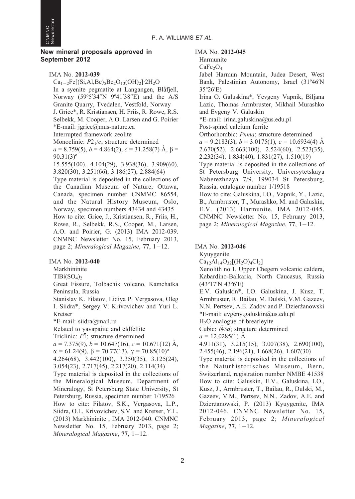

#### New mineral proposals approved in September 2012

IMA No. 2012-039

 $Ca_{1-2}Fe[(Si, Al,Be)_{5}Be_{2}O_{13}(OH)_{2}]$  2H<sub>2</sub>O In a syenite pegmatite at Langangen, Blåfjell, Norway (59º5'34''N 9º41'38''E) and the A/S Granite Quarry, Tvedalen, Vestfold, Norway J. Grice\*, R. Kristiansen, H. Friis, R. Rowe, R.S. Selbekk, M. Cooper, A.O. Larsen and G. Poirier \*E-mail: jgrice@mus-nature.ca Interrupted framework zeolite Monoclinic:  $P2<sub>1</sub>/c$ ; structure determined  $a = 8.759(5)$ ,  $b = 4.864(2)$ ,  $c = 31.258(7)$   $\AA$ ,  $\beta =$  $90.31(3)$ <sup>o</sup> 15.555(100), 4.104(29), 3.938(36), 3.909(60), 3.820(30), 3.251(66), 3.186(27), 2.884(64) Type material is deposited in the collections of the Canadian Museum of Nature, Ottawa, Canada, specimen number CNMMC 86554, and the Natural History Museum, Oslo, Norway, specimen numbers 43434 and 43435 How to cite: Grice, J., Kristiansen, R., Friis, H., Rowe, R., Selbekk, R.S., Cooper, M., Larsen, A.O. and Poirier, G. (2013) IMA 2012-039. CNMNC Newsletter No. 15, February 2013, page 2; Mineralogical Magazine, 77, 1-12.

IMA No. 2012-040

Markhininite

 $TlBi(SO<sub>4</sub>)<sub>2</sub>$ 

Great Fissure, Tolbachik volcano, Kamchatka Peninsula, Russia

Stanislav K. Filatov, Lidiya P. Vergasova, Oleg I. Siidra\*, Sergey V. Krivovichev and Yuri L. Kretser \*E-mail: siidra@mail.ru

Related to yavapaiite and eldfellite

Triclinic:  $P\bar{1}$ ; structure determined  $a = 7.375(9)$ ,  $b = 10.647(16)$ ,  $c = 10.671(12)$  Å,

 $\alpha = 61.24(9), \beta = 70.77(13), \gamma = 70.85(10)^{\circ}$ 4.264(68), 3.442(100), 3.350(35), 3.125(24),

3.054(23), 2.717(45), 2.217(20), 2.114(34)

Type material is deposited in the collections of the Mineralogical Museum, Department of Mineralogy, St Petersburg State University, St Petersburg, Russia, specimen number 1/19526 How to cite: Filatov, S.K., Vergasova, L.P., Siidra, O.I., Krivovichev, S.V. and Kretser, Y.L. (2013) Markhininite , IMA 2012-040. CNMNC Newsletter No. 15, February 2013, page 2; Mineralogical Magazine, 77, 1-12.

IMA No. 2012-045

```
Harmunite
```
 $CaFe<sub>2</sub>O<sub>4</sub>$ 

Jabel Harmun Mountain, Judea Desert, West Bank, Palestinian Autonomy, Israel (31º46'N 35º26'E)

Irina O. Galuskina\*, Yevgeny Vapnik, Biljana Lazic, Thomas Armbruster, Mikhail Murashko and Evgeny V. Galuskin

\*E-mail: irina.galuskina@us.edu.pl

Post-spinel calcium ferrite

Orthorhombic: Pnma; structure determined  $a = 9.2183(3), b = 3.0175(1), c = 10.6934(4)$  Å 2.670(52), 2.663(100), 2.524(60), 2.523(35), 2.232(34), 1.834(40), 1.831(27), 1.510(19) Type material is deposited in the collections of

St Petersburg University, Universytetskaya Naberezhnaya 7/9, 199034 St Petersburg, Russia, catalogue number 1/19518

How to cite: Galuskina, I.O., Vapnik, Y., Lazic, B., Armbruster, T., Murashko, M. and Galuskin, E.V. (2013) Harmunite, IMA 2012-045. CNMNC Newsletter No. 15, February 2013, page 2; Mineralogical Magazine, 77, 1-12.

# IMA No. 2012-046

Kyuygenite  $Ca_{12}Al_{14}O_{32}[(H_2O)_4Cl_2]$ Xenolith no.1, Upper Chegem volcanic caldera, Kabardino-Balkaria, North Caucasus, Russia (43º17'N 43º6'E) E.V. Galuskin\*, I.O. Galuskina, J. Kusz, T. Armbruster, R. Bailau, M. Dulski, V.M. Gazeev, N.N. Pertsev, A.E. Zadov and P. Dzierżanowski \*E-mail: evgeny.galuskin@us.edu.pl H2O analogue of brearleyite Cubic:  $I\bar{4}3d$ ; structure determined  $a = 12.0285(1)$  Å 4.911(31), 3.215(15), 3.007(38), 2.690(100), 2.455(46), 2.196(21), 1.668(26), 1.607(30) Type material is deposited in the collections of the Naturhistorisches Museum, Bern, Switzerland, registration number NMBE 41538 How to cite: Galuskin, E.V., Galuskina, I.O., Kusz, J., Armbruster, T., Bailau, R., Dulski, M., Gazeev, V.M., Pertsev, N.N., Zadov, A.E. and Dzierżanowski, P. (2013) Kyuygenite, IMA 2012-046. CNMNC Newsletter No. 15, February 2013, page 2; Mineralogical Magazine, 77, 1-12.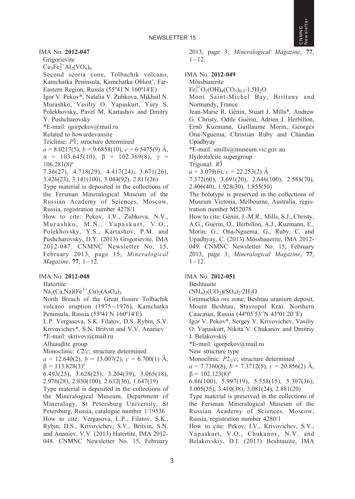

IMA No. 2012-047

Grigorievite  $Cu_3Fe_2^{3+}Al_2(VO_4)_6$ 

Second scoria cone, Tolbachik volcano, Kamchatka Peninsula, Kamchatka Oblast', Far-Eastern Region, Russia (55º41'N 160º14'E) Igor V. Pekov\*, Natalia V. Zubkova, Mikhail N. Murashko, Vasiliy O. Yapaskurt, Yury S. Polekhovsky, Pavel M. Kartashov and Dmitry Y. Pushcharovsky \*E-mail: igorpekov@mail.ru

Related to howardevansite

Triclinic:  $P\bar{1}$ : structure determined

 $a = 8.0217(5)$ ,  $b = 9.6858(10)$ ,  $c = 6.5475(9)$  Å,  $\alpha$  = 103.645(10),  $\beta$  = 102.369(8),  $\gamma$  =  $106.281(8)$ <sup>o</sup>

7.36(27), 4.718(29), 4.417(24), 3.671(26), 3.426(23), 3.141(100), 3.044(92), 2.811(26)

Type material is deposited in the collections of the Fersman Mineralogical Museum of the Russian Academy of Sciences, Moscow, Russia, registration number 4278/1

How to cite: Pekov, I.V., Zubkova, N.V., Murashko, M.N., Yapaskurt, V.O., Polekhovsky, Y.S., Kartashov, P.M. and Pushcharovsky, D.Y. (2013) Grigorievite, IMA 2012-047. CNMNC Newsletter No. 15, February 2013, page 15; Mineralogical Magazine, 77, 1-12.

# IMA No. 2012-048

Hatertite

 $Na<sub>2</sub>(Ca,Na)(Fe<sup>3+</sup>,Cu)<sub>2</sub>(AsO<sub>4</sub>)<sub>3</sub>$ 

North Breach of the Great fissure Tolbachik volcano eruption (1975-1976), Kamchatka Peninsula, Russia (55º41'N 160º14'E) L.P. Vergasova, S.K. Filatov, D.S. Rybin, S.V. Krivovichev\*, S.N. Britvin and V.V. Ananiev

\*E-mail: skrivovi@mail.ru Alluaudite group

Monoclinic: C2/c; structure determined

 $a = 12.640(2), b = 13.007(2), c = 6.700(1)$  Å,  $\beta = 113.828(3)^{\circ}$ 

6.493(25), 3.628(25), 3.204(39), 3.065(18), 2.976(28), 2.830(100), 2.632(36), 1.647(19)

Type material is deposited in the collections of the Mineralogical Museum, Department of Mineralogy, St Petersburg University, St Petersburg, Russia, catalogue number 1/19536 How to cite: Vergasova, L.P., Filatov, S.K., Rybin, D.S., Krivovichev, S.V., Britvin, S.N. and Ananiev, V.V. (2013) Hatertite, IMA 2012- 048. CNMNC Newsletter No. 15, February 2013, page 3; Mineralogical Magazine, 77,  $1 - 12$ .

IMA No. 2012-049

Mössbauerite

 $Fe_3^{3+}O_2(OH)_4(CO_3)_{0.5} \cdot 1.5H_2O$ 

Mont Saint-Michel Bay, Brittany and Normandy, France

Jean-Marie R. Génin, Stuart J. Mills\*, Andrew G. Christy, Odile Guérin, Adrien J. Herbillon, Ernő Kuzmann, Guillaume Morin, Georges Ona-Nguema, Christian Ruby and Chandan Upadhyay

\*E-mail: smills@museum.vic.gov.au

Hydrotalcite supergroup

Trigonal: R3¯

 $a = 3.079(6)$ ,  $c = 22.253(2)$  Å

7.372(60), 3.691(20), 2.646(100), 2.588(70), 2.406(40), 1.928(30), 1.855(50)

The holotype is preserved in the collections of Museum Victoria, Melbourne, Australia, registration number M52078

How to cite: Génin, J.-M.R., Mills, S.J., Christy, A.G., Guérin, O., Herbillon, A.J., Kuzmann, E., Morin, G., Ona-Nguema, G., Ruby, C. and Upadhyay, C. (2013) Mössbauerite, IMA 2012-049. CNMNC Newsletter No. 15, February 2013, page 3; Mineralogical Magazine, 77,  $1 - 12$ .

# IMA No. 2012-051

Beshtauite

 $(NH_4)_2(UO_2)(SO_4)_2.2H_2O$ 

Gremuchka ore zone, Beshtau uranium deposit, Mount Beshtau, Stavropol Krai, Northern Caucasus, Russia (44º05'53''N 43º01'20''E)

Igor V. Pekov\*, Sergey V. Krivovichev, Vasiliy O. Yapaskurt, Nikita V. Chukanov and Dmitriy I. Belakovskiy

\*E-mail: igorpekov@mail.ru

New structure type

Monoclinic:  $P2<sub>1</sub>/c$ ; structure determined

 $a = 7.7360(8)$ ,  $b = 7.3712(5)$ ,  $c = 20.856(2)$  Å,  $\beta = 102.123(8)^{\circ}$ 

6.86(100), 5.997(19), 5.558(15), 5.307(36), 5.005(35), 3.410(38), 3.081(24), 2.881(20)

Type material is preserved in the collections of the Fersman Mineralogical Museum of the Russian Academy of Sciences, Moscow, Russia, registration number 4280/1

How to cite: Pekov, I.V., Krivovichev, S.V., Yapaskurt, V.O., Chukanov, N.V. and Belakovskiy, D.I. (2013) Beshtauite, IMA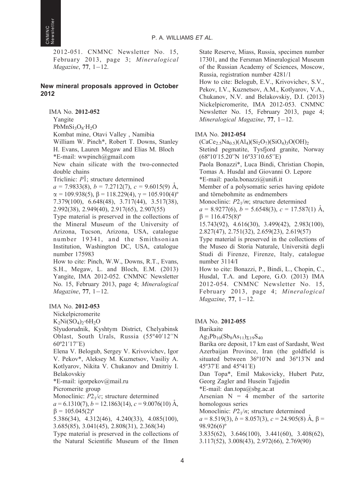2012-051. CNMNC Newsletter No. 15, February 2013, page 3; Mineralogical Magazine, 77, 1-12.

# New mineral proposals approved in October 2012

IMA No. 2012-052 Yangite  $PbMnSi<sub>3</sub>O<sub>8</sub>·H<sub>2</sub>O$ Kombat mine, Otavi Valley , Namibia William W. Pinch\*, Robert T. Downs, Stanley H. Evans, Lauren Megaw and Elias M. Bloch \*E-mail: wwpinch@gmail.com New chain silicate with the two-connected double chains Triclinic:  $P\bar{1}$ ; structure determined  $a = 7.9833(8), b = 7.2712(7), c = 9.6015(9)$  Å,  $\alpha = 109.938(5), \beta = 118.229(4), \gamma = 105.910(4)^{\circ}$ 7.379(100), 6.648(48), 3.717(44), 3.517(38), 2.992(38), 2.949(40), 2.917(65), 2.907(55)

Type material is preserved in the collections of the Mineral Museum of the University of Arizona, Tucson, Arizona, USA, catalogue number 19341, and the Smithsonian Institution, Washington DC, USA, catalogue number 175983

How to cite: Pinch, W.W., Downs, R.T., Evans, S.H., Megaw, L. and Bloch, E.M. (2013) Yangite, IMA 2012-052. CNMNC Newsletter No. 15, February 2013, page 4; Mineralogical Magazine, 77, 1-12.

# IMA No. 2012-053

Nickelpicromerite

 $K_2Ni(SO_4)_2·6H_2O$ 

Slyudorudnik, Kyshtym District, Chelyabinsk Oblast, South Urals, Russia (55º40'12''N 60º21'17''E)

Elena V. Belogub, Sergey V. Krivovichev, Igor V. Pekov\*, Aleksey M. Kuznetsov, Vasiliy A. Kotlyarov, Nikita V. Chukanov and Dmitriy I. Belakovskiy

\*E-mail: igorpekov@mail.ru

Picromerite group

Monoclinic:  $P2<sub>1</sub>/c$ ; structure determined

 $a = 6.1310(7)$ ,  $b = 12.1863(14)$ ,  $c = 9.0076(10)$  Å,  $\beta = 105.045(2)^{\circ}$ 

5.386(34), 4.312(46), 4.240(33), 4.085(100), 3.685(85), 3.041(45), 2.808(31), 2.368(34)

Type material is preserved in the collections of the Natural Scientific Museum of the Ilmen

State Reserve, Miass, Russia, specimen number 17301, and the Fersman Mineralogical Museum of the Russian Academy of Sciences, Moscow, Russia, registration number 4281/1

How to cite: Belogub, E.V., Krivovichev, S.V., Pekov, I.V., Kuznetsov, A.M., Kotlyarov, V.A., Chukanov, N.V. and Belakovskiy, D.I. (2013) Nickelpicromerite, IMA 2012-053. CNMNC Newsletter No. 15, February 2013, page 4; Mineralogical Magazine, 77, 1-12.

# IMA No. 2012-054

 $(CaCe<sub>2.5</sub>Na<sub>0.5</sub>)(Al<sub>4</sub>)(Si<sub>2</sub>O<sub>7</sub>)(SiO<sub>4</sub>)<sub>3</sub>O(OH)<sub>2</sub>$ Stetind pegmatite, Tysfjord granite, Norway (68º10'15.20''N 16º33'10.65''E)

Paola Bonazzi\*, Luca Bindi, Christian Chopin, Tomas A. Husdal and Giovanni O. Lepore \*E-mail: paola.bonazzi@unifi.it

Member of a polysomatic series having epidote and törnebohmite as endmembers

Monoclinic:  $P2_1/m$ ; structure determined

 $a = 8.9277(6)$ ,  $b = 5.6548(3)$ ,  $c = 17.587(1)$  Å,  $\beta = 116.475(8)^{\circ}$ 

15.743(92), 4.616(30), 3.499(42), 2.983(100), 2.827(47), 2.751(32), 2.659(23), 2.619(57)

Type material is preserved in the collections of the Museo di Storia Naturale, Universita` degli Studi di Firenze, Firenze, Italy, catalogue number 3114/I

How to cite: Bonazzi, P., Bindi, L., Chopin, C., Husdal, T.A. and Lepore, G.O. (2013) IMA 2012-054. CNMNC Newsletter No. 15, February 2013, page 4; Mineralogical Magazine, 77, 1-12.

# IMA No. 2012-055

Barikaite

 $Ag_3Pb_{10}(Sb_8As_{11})_{\Sigma 19}S_{40}$ 

Barika ore deposit, 17 km east of Sardasht, West Azerbaijan Province, Iran (the goldfield is situated between 36º10'N and 36º13'N and 45º37'E and 45º41'E)

Dan Topa\*, Emil Makovicky, Hubert Putz, Georg Zagler and Husein Tajjedin

\*E-mail: dan.topa@sbg.ac.at

Arsenian  $N = 4$  member of the sartorite homologous series

Monoclinic:  $P2_1/n$ ; structure determined

 $a = 8.519(3), b = 8.057(3), c = 24.905(8)$  Å,  $\beta =$ 98.926(6)º

3.835(62), 3.646(100), 3.441(60), 3.408(62), 3.117(52), 3.008(43), 2.972(66), 2.769(90)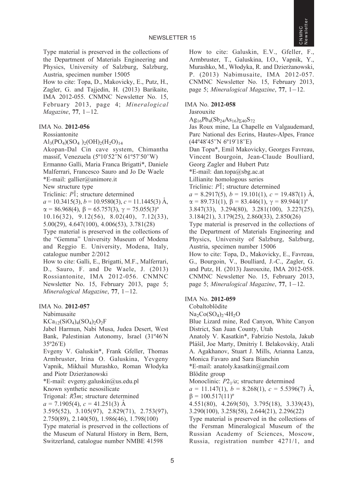Type material is preserved in the collections of the Department of Materials Engineering and Physics, University of Salzburg, Salzburg, Austria, specimen number 15005 How to cite: Topa, D., Makovicky, E., Putz, H.,

Zagler, G. and Tajjedin, H. (2013) Barikaite, IMA 2012-055. CNMNC Newsletter No. 15, February 2013, page 4; Mineralogical Magazine, 77, 1-12.

# IMA No. 2012-056

#### Rossiantonite

 $\text{Al}_3(\text{PO}_4)(\text{SO}_4)_{2}(\text{OH})_{2}(\text{H}_2\text{O})_{14}$ 

Akopan-Dal Cin cave system, Chimantha massif, Venezuela (5º10'52''N 61º57'50''W) Ermanno Galli, Maria Franca Brigatti\*, Daniele Malferrari, Francesco Sauro and Jo De Waele \*E-mail: gallier@unimore.it New structure type Triclinic:  $P\bar{1}$ ; structure determined

 $a = 10.3415(3), b = 10.9580(3), c = 11.1445(3)$  Å,

 $\alpha = 86.968(4), \beta = 65.757(3), \gamma = 75.055(3)^{\circ}$ 10.16(32), 9.12(56), 8.02(40), 7.12(33),

5.00(29), 4.647(100), 4.006(53), 3.781(28)

Type material is preserved in the collections of the ''Gemma'' University Museum of Modena and Reggio E. University, Modena, Italy, catalogue number 2/2012

How to cite: Galli, E., Brigatti, M.F., Malferrari, D., Sauro, F. and De Waele, J. (2013) Rossiantonite, IMA 2012-056. CNMNC Newsletter No. 15, February 2013, page 5; Mineralogical Magazine, 77, 1-12.

# IMA No. 2012-057

Nabimusaite

 $KCa_{12}(SiO_4)_4(SO_4)_2O_2F$ 

Jabel Harmun, Nabi Musa, Judea Desert, West Bank, Palestinian Autonomy, Israel (31º46'N 35º26'E)

Evgeny V. Galuskin\*, Frank Gfeller, Thomas Armbruster, Irina O. Galuskina, Yevgeny Vapnik, Mikhail Murashko, Roman Włodyka and Piotr Dzierżanowski

\*E-mail: evgeny.galuskin@us.edu.pl

Known synthetic nesosilicate

Trigonal:  $R\bar{3}m$ ; structure determined

 $a = 7.1905(4), c = 41.251(3)$  Å

3.595(52), 3.105(97), 2.829(71), 2.753(97), 2.750(89), 2.140(50), 1.986(46), 1.798(100) Type material is preserved in the collections of the Museum of Natural History in Bern, Bern, Switzerland, catalogue number NMBE 41598

How to cite: Galuskin, E.V., Gfeller, F., Armbruster, T., Galuskina, I.O., Vapnik, Y., Murashko, M., Włodyka, R. and Dzierżanowski, P. (2013) Nabimusaite, IMA 2012-057. CNMNC Newsletter No. 15, February 2013, page 5; Mineralogical Magazine, 77, 1-12.

#### IMA No. 2012-058

Jasrouxite  $Ag_{16}Pb_{4}(Sb_{24}As_{16})_{\Sigma 40}S_{72}$ 

Jas Roux mine, La Chapelle en Valgaudemard, Parc National des Ecrins, Hautes-Alpes, France (44º48'45''N 6º19'18''E)

Dan Topa\*, Emil Makovicky, Georges Favreau, Vincent Bourgoin, Jean-Claude Boulliard, Georg Zagler and Hubert Putz

\*E-mail: dan.topa@sbg.ac.at

Lillianite homologous series

Triclinic:  $P\bar{1}$ ; structure determined

 $a = 8.2917(5)$ ,  $b = 19.101(1)$ ,  $c = 19.487(1)$  Å,

 $\alpha = 89.731(1), \beta = 83.446(1), \gamma = 89.944(1)$ <sup>o</sup>

3.847(33), 3.294(80), 3.281(100), 3.227(25),

3.184(21), 3.179(25), 2.860(33), 2.850(26)

Type material is preserved in the collections of the Department of Materials Engineering and Physics, University of Salzburg, Salzburg, Austria, specimen number 15006

How to cite: Topa, D., Makovicky, E., Favreau, G., Bourgoin, V., Boulliard, J.-C., Zagler, G. and Putz, H. (2013) Jasrouxite, IMA 2012-058. CNMNC Newsletter No. 15, February 2013, page 5; Mineralogical Magazine, 77, 1-12.

#### IMA No. 2012-059

Cobaltoblödite

 $Na<sub>2</sub>Co(SO<sub>4</sub>)<sub>2</sub>·4H<sub>2</sub>O$ 

Blue Lizard mine, Red Canyon, White Canyon District, San Juan County, Utah

Anatoly V. Kasatkin\*, Fabrizio Nestola, Jakub Plášil, Joe Marty, Dmitriy I. Belakovskiy, Atali A. Agakhanov, Stuart J. Mills, Arianna Lanza, Monica Favaro and Sara Bianchin

\*E-mail: anatoly.kasatkin@gmail.com

Blödite group

Monoclinic:  $P2<sub>1</sub>/a$ ; structure determined

 $a = 11.147(1), b = 8.268(1), c = 5.5396(7)$  Å,  $\beta = 100.517(11)^{\circ}$ 

4.551(80), 4.269(50), 3.795(18), 3.339(43), 3.290(100), 3.258(58), 2.644(21), 2.296(22)

Type material is preserved in the collections of the Fersman Mineralogical Museum of the Russian Academy of Sciences, Moscow, Russia, registration number 4271/1, and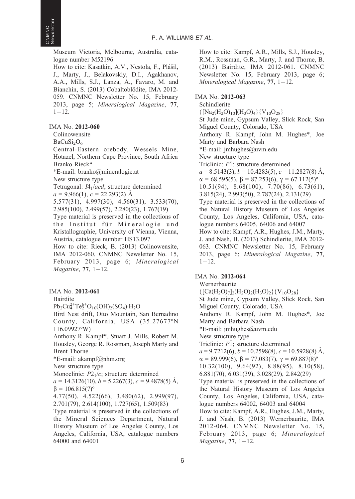Museum Victoria, Melbourne, Australia, catalogue number M52196

How to cite: Kasatkin, A.V., Nestola, F., Plášil, J., Marty, J., Belakovskiy, D.I., Agakhanov, A.A., Mills, S.J., Lanza, A., Favaro, M. and Bianchin, S. (2013) Cobaltoblödite, IMA 2012-059. CNMNC Newsletter No. 15, February 2013, page 5; Mineralogical Magazine, 77,  $1 - 12$ .

IMA No. 2012-060

Colinowensite

 $BaCuSi<sub>2</sub>O<sub>6</sub>$ 

Central-Eastern orebody, Wessels Mine, Hotazel, Northern Cape Province, South Africa Branko Rieck\*

\*E-mail: branko@mineralogie.at

New structure type

Tetragonal: I41/acd; structure determined  $a = 9.966(1), c = 22.293(2)$  A

5.577(31), 4.997(30), 4.560(31), 3.533(70), 2.985(100), 2.499(57), 2.280(23), 1.767(19)

Type material is preserved in the collections of the Institut für Mineralogie und Kristallographie, University of Vienna, Vienna, Austria, catalogue number HS13.097

How to cite: Rieck, B. (2013) Colinowensite, IMA 2012-060. CNMNC Newsletter No. 15, February 2013, page 6; Mineralogical Magazine, 77, 1-12.

IMA No. 2012-061

Bairdite

 $Pb_2Cu_4^{2+}Te_2^{6+}O_{10}(OH)_2(SO_4)H_2O$ 

Bird Nest drift, Otto Mountain, San Bernadino County, California, USA (35.27677ºN 116.09927ºW)

Anthony R. Kampf\*, Stuart J. Mills, Robert M. Housley, George R. Rossman, Joseph Marty and Brent Thorne

\*E-mail: akampf@nhm.org

New structure type

Monoclinic:  $P2<sub>1</sub>/c$ ; structure determined

 $a = 14.3126(10), b = 5.2267(3), c = 9.4878(5)$  Å,  $\beta = 106.815(7)^{\circ}$ 

4.77(50), 4.522(66), 3.480(62), 2.999(97), 2.701(79), 2.614(100), 1.727(65), 1.509(83)

Type material is preserved in the collections of the Mineral Sciences Department, Natural History Museum of Los Angeles County, Los Angeles, California, USA, catalogue numbers 64000 and 64001

How to cite: Kampf, A.R., Mills, S.J., Housley, R.M., Rossman, G.R., Marty, J. and Thorne, B. (2013) Bairdite, IMA 2012-061. CNMNC Newsletter No. 15, February 2013, page 6; Mineralogical Magazine, 77, 1-12.

# IMA No. 2012-063

Schindlerite  ${[Na_2(H_2O)_{10}](H_3O)_4}{V_{10}O_{28}}$ St Jude mine, Gypsum Valley, Slick Rock, San Miguel County, Colorado, USA Anthony R. Kampf, John M. Hughes\*, Joe Marty and Barbara Nash \*E-mail: jmhughes@uvm.edu New structure type Triclinic:  $P\bar{1}$ ; structure determined  $a = 8.5143(3), b = 10.4283(5), c = 11.2827(8)$  Å,  $\alpha = 68.595(5)$ ,  $\beta = 87.253(6)$ ,  $\gamma = 67.112(5)$ <sup>o</sup> 10.51(94), 8.68(100), 7.70(86), 6.73(61), 3.815(24), 2.993(50), 2.787(24), 2.131(29) Type material is preserved in the collections of the Natural History Museum of Los Angeles County, Los Angeles, California, USA, catalogue numbers 64005, 64006 and 64007 How to cite: Kampf, A.R., Hughes, J.M., Marty, J. and Nash, B. (2013) Schindlerite, IMA 2012- 063. CNMNC Newsletter No. 15, February 2013, page 6; Mineralogical Magazine, 77,  $1 - 12$ .

# IMA No. 2012-064

Wernerbaurite  ${[Ca(H<sub>2</sub>O)<sub>7</sub>]<sub>2</sub>(H<sub>2</sub>O)<sub>2</sub>(H<sub>3</sub>O)<sub>2</sub>}{V<sub>10</sub>O<sub>28</sub>}$ St Jude mine, Gypsum Valley, Slick Rock, San Miguel County, Colorado, USA Anthony R. Kampf, John M. Hughes\*, Joe Marty and Barbara Nash \*E-mail: jmhughes@uvm.edu New structure type Triclinic:  $P\bar{1}$ ; structure determined  $a = 9.7212(6)$ ,  $b = 10.2598(8)$ ,  $c = 10.5928(8)$  Å,  $\alpha = 89.999(6), \beta = 77.083(7), \gamma = 69.887(8)^{\circ}$ 10.32(100), 9.64(92), 8.88(95), 8.10(58), 6.881(70), 6.031(39), 3.028(29), 2.842(29) Type material is preserved in the collections of the Natural History Museum of Los Angeles County, Los Angeles, California, USA, catalogue numbers 64002, 64003 and 64004 How to cite: Kampf, A.R., Hughes, J.M., Marty, J. and Nash, B. (2013) Wernerbaurite, IMA 2012-064. CNMNC Newsletter No. 15, February 2013, page 6; Mineralogical Magazine, 77, 1-12.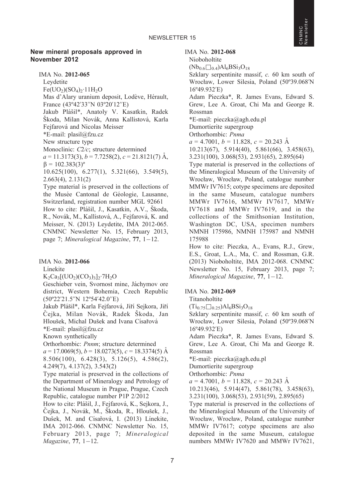#### New mineral proposals approved in November 2012

IMA No. 2012-065

Leydetite  $Fe( UO<sub>2</sub>)(SO<sub>4</sub>)<sub>2</sub>·11H<sub>2</sub>O$ Mas d'Alary uranium deposit, Lodève, Hérault, France (43º42'33''N 03º20'12''E) Jakub Plášil\*, Anatoly V. Kasatkin, Radek Škoda, Milan Novák, Anna Kallistová, Karla Fejfarová and Nicolas Meisser \*E-mail: plasil@fzu.cz New structure type Monoclinic: C2/c; structure determined  $a = 11.3173(3), b = 7.7258(2), c = 21.8121(7)$  Å,  $\beta = 102.383(3)^{\circ}$ 10.625(100), 6.277(1), 5.321(66), 3.549(5), 2.663(4), 2.131(2) Type material is preserved in the collections of the Musée Cantonal de Géologie, Lausanne, Switzerland, registration number MGL 92661 How to cite: Plášil, J., Kasatkin, A.V., Škoda, R., Novák, M., Kallistová, A., Fejfarová, K. and Meisser, N. (2013) Leydetite, IMA 2012-065. CNMNC Newsletter No. 15, February 2013, page 7; Mineralogical Magazine, 77, 1-12.

#### IMA No. 2012-066

Linekite

 $K_2Ca_3[(UO_2)(CO_3)_3]_2.7H_2O$ 

Geschieber vein, Svornost mine, Jáchymov ore district, Western Bohemia, Czech Republic (50º22'21.5''N 12º54'42.0''E)

Jakub Plášil\*, Karla Fejfarová, Jiří Sejkora, Jiří Čejka, Milan Novák, Radek Škoda, Jan Hloušek, Michal Dušek and Ivana Císařová \*E-mail: plasil@fzu.cz

Known synthetically

Orthorhombic: Pnnm; structure determined

 $a = 17.0069(5)$ ,  $b = 18.0273(5)$ ,  $c = 18.3374(5)$  Å 8.506(100), 6.428(3), 5.126(5), 4.586(2), 4.249(7), 4.137(2), 3.543(2)

Type material is preserved in the collections of the Department of Mineralogy and Petrology of the National Museum in Prague, Prague, Czech Republic, catalogue number P1P 2/2012

How to cite: Plášil, J., Fejfarová, K., Sejkora, J., Čejka, J., Novák, M., Škoda, R., Hloušek, J., Dušek, M. and Císařová, I. (2013) Línekite, IMA 2012-066. CNMNC Newsletter No. 15, February 2013, page 7; Mineralogical Magazine, 77, 1-12.

#### IMA No. 2012-068

Nioboholtite  $(Nb_{0.6}\square_{0.4})$ Al<sub>6</sub>BSi<sub>3</sub>O<sub>18</sub>

Szklary serpentinite massif, c. 60 km south of Wrocław, Lower Silesia, Poland (50º39.068'N 16º49.932'E)

Adam Pieczka\*, R. James Evans, Edward S. Grew, Lee A. Groat, Chi Ma and George R. Rossman

\*E-mail: pieczka@agh.edu.pl

Dumortierite supergroup

Orthorhombic: Pnma

 $a = 4.7001, b = 11.828, c = 20.243 \text{ Å}$ 

10.213(67), 5.914(40), 5.861(66), 3.458(63),

3.231(100), 3.068(53), 2.931(65), 2.895(64)

Type material is preserved in the collections of the Mineralogical Museum of the University of Wrocław, Wrocław, Poland, catalogue number MMWr IV7615; cotype specimens are deposited in the same Museum, catalogue numbers MMWr IV7616, MMWr IV7617, MMWr IV7618 and MMWr IV7619, and in the collections of the Smithsonian Institution, Washington DC, USA, specimen numbers NMNH 175986, NMNH 175987 and NMNH 175988

How to cite: Pieczka, A., Evans, R.J., Grew, E.S., Groat, L.A., Ma, C. and Rossman, G.R. (2013) Nioboholtite, IMA 2012-068. CNMNC Newsletter No. 15, February 2013, page 7; Mineralogical Magazine, 77, 1-12.

#### IMA No. 2012-069

Titanoholtite

 $(Ti_{0.75}\Box_{0.25})Al_6BSi_3O_{18}$ 

Szklary serpentinite massif, c. 60 km south of Wrocław, Lower Silesia, Poland (50º39.068'N 16º49.932'E)

Adam Pieczka\*, R. James Evans, Edward S. Grew, Lee A. Groat, Chi Ma and George R. Rossman

\*E-mail: pieczka@agh.edu.pl

Dumortierite supergroup

Orthorhombic: Pnma

 $a = 4.7001, b = 11.828, c = 20.243 \text{ Å}$ 

10.213(46), 5.914(47), 5.861(78), 3.458(63),

3.231(100), 3.068(53), 2.931(59), 2.895(65)

Type material is preserved in the collections of the Mineralogical Museum of the University of Wrocław, Wrocław, Poland, catalogue number MMWr IV7617; cotype specimens are also deposited in the same Museum, catalogue numbers MMWr IV7620 and MMWr IV7621,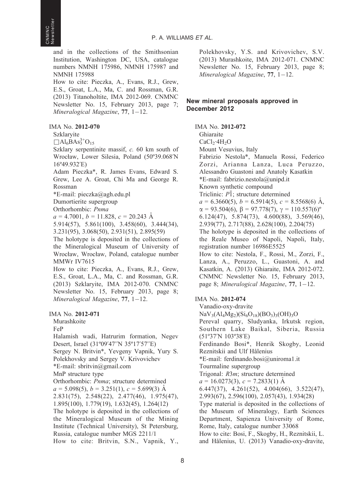and in the collections of the Smithsonian Institution, Washington DC, USA, catalogue numbers NMNH 175986, NMNH 175987 and NMNH 175988 How to cite: Pieczka, A., Evans, R.J., Grew, E.S., Groat, L.A., Ma, C. and Rossman, G.R. (2013) Titanoholtite, IMA 2012-069. CNMNC Newsletter No. 15, February 2013, page 7; Mineralogical Magazine, 77, 1-12.

IMA No. 2012-070

Szklaryite

 $\Box$ Al<sub>6</sub>BAs<sub>3</sub><sup>3+</sup>O<sub>15</sub>

Szklary serpentinite massif, c. 60 km south of Wrocław, Lower Silesia, Poland (50º39.068'N 16º49.932'E)

Adam Pieczka\*, R. James Evans, Edward S. Grew, Lee A. Groat, Chi Ma and George R. Rossman

\*E-mail: pieczka@agh.edu.pl

Dumortierite supergroup

Orthorhombic: Pnma

 $a = 4.7001, b = 11.828, c = 20.243$  Å

5.914(57), 5.861(100), 3.458(60), 3.444(34), 3.231(95), 3.068(50), 2.931(51), 2.895(59)

The holotype is deposited in the collections of the Mineralogical Museum of University of Wrocław, Wrocław, Poland, catalogue number MMWr IV7615

How to cite: Pieczka, A., Evans, R.J., Grew, E.S., Groat, L.A., Ma, C. and Rossman, G.R. (2013) Szklaryite, IMA 2012-070. CNMNC Newsletter No. 15, February 2013, page 8; Mineralogical Magazine, 77, 1-12.

IMA No. 2012-071

Murashkoite

FeP

Halamish wadi, Hatrurim formation, Negev Desert, Israel (31º09'47''N 35º17'57''E) Sergey N. Britvin\*, Yevgeny Vapnik, Yury S. Polekhovsky and Sergey V. Krivovichev \*E-mail: sbritvin@gmail.com MnP structure type Orthorhombic: Pnma; structure determined  $a = 5.098(5), b = 3.251(1), c = 5.699(3)$  Å 2.831(75), 2.548(22), 2.477(46), 1.975(47), 1.895(100), 1.779(19), 1.632(45), 1.264(12) The holotype is deposited in the collections of the Mineralogical Museum of the Mining Institute (Technical University), St Petersburg, Russia, catalogue number MGS 2211/1

How to cite: Britvin, S.N., Vapnik, Y.,

Polekhovsky, Y.S. and Krivovichev, S.V. (2013) Murashkoite, IMA 2012-071. CNMNC Newsletter No. 15, February 2013, page 8; Mineralogical Magazine, 77, 1-12.

# New mineral proposals approved in December 2012

IMA No. 2012-072

Ghiaraite  $CaCl<sub>2</sub>·4H<sub>2</sub>O$ Mount Vesuvius, Italy Fabrizio Nestola\*, Manuela Rossi, Federico Zorzi, Arianna Lanza, Luca Peruzzo, Alessandro Guastoni and Anatoly Kasatkin \*E-mail: fabrizio.nestola@unipd.it Known synthetic compound Triclinic:  $P\bar{1}$ ; structure determined  $a = 6.3660(5)$ ,  $b = 6.5914(5)$ ,  $c = 8.5568(6)$  Å,  $\alpha = 93.504(6), \beta = 97.778(7), \gamma = 110.557(6)^{\circ}$ 6.124(47), 5.874(73), 4.600(88), 3.569(46), 2.939(77), 2.717(88), 2.628(100), 2.204(75) The holotype is deposited in the collections of the Reale Museo of Napoli, Napoli, Italy, registration number 16986E5525 How to cite: Nestola, F., Rossi, M., Zorzi, F., Lanza, A., Peruzzo, L., Guastoni, A. and Kasatkin, A. (2013) Ghiaraite, IMA 2012-072. CNMNC Newsletter No. 15, February 2013, page 8; Mineralogical Magazine, 77, 1-12.

# IMA No. 2012-074

Vanadio-oxy-dravite  $NaV_3(Al_4Mg_2)(Si_6O_{18})(BO_3)_3(OH)_3O$ Pereval quarry, Sludyanka, Irkutsk region, Southern Lake Baikal, Siberia, Russia (51º37'N 103º38'E) Ferdinando Bosi\*, Henrik Skogby, Leonid Reznitskii and Ulf Hålenius \*E-mail: ferdinando.bosi@uniroma1.it Tourmaline supergroup Trigonal: R3m; structure determined  $a = 16.0273(3), c = 7.2833(1)$  Å 6.447(37), 4.261(52), 4.004(66), 3.522(47), 2.993(67), 2.596(100), 2.057(43), 1.934(28) Type material is deposited in the collections of the Museum of Mineralogy, Earth Sciences Department, Sapienza University of Rome, Rome, Italy, catalogue number 33068 How to cite: Bosi, F., Skogby, H., Reznitskii, L. and Hålenius, U. (2013) Vanadio-oxy-dravite,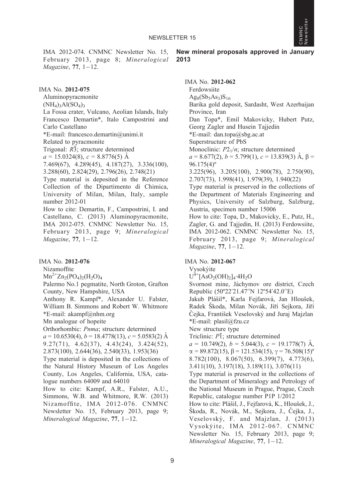IMA 2012-074. CNMNC Newsletter No. 15, February 2013, page 8; Mineralogical Magazine, 77, 1-12.

IMA No. 2012-075

Aluminopyracmonite

 $(NH_4)$ <sub>3</sub>Al(SO<sub>4</sub>)<sub>3</sub>

La Fossa crater, Vulcano, Aeolian Islands, Italy Francesco Demartin\*, Italo Campostrini and Carlo Castellano

\*E-mail: francesco.demartin@unimi.it

Related to pyracmonite

Trigonal:  $R\overline{3}$ ; structure determined

 $a = 15.0324(8), c = 8.8776(5)$  Å

7.469(67), 4.289(45), 4.187(27), 3.336(100), 3.288(60), 2.824(29), 2.796(26), 2.748(21)

Type material is deposited in the Reference Collection of the Dipartimento di Chimica, University of Milan, Milan, Italy, sample number 2012-01

How to cite: Demartin, F., Campostrini, I. and Castellano, C. (2013) Aluminopyracmonite, IMA 2012-075. CNMNC Newsletter No. 15, February 2013, page 9; Mineralogical Magazine, 77, 1-12.

IMA No. 2012-076

Nizamoffite

 $Mn^{2+}Zn_2(PO_4)_2(H_2O)_4$ 

Palermo No.1 pegmatite, North Groton, Grafton County, New Hampshire, USA

Anthony R. Kampf\*, Alexander U. Falster, William B. Simmons and Robert W. Whitmore  $E$ -mail: akampf@nhm.org

Mn analogue of hopeite

Orthorhombic: Pnma; structure determined

 $a = 10.6530(4)$ ,  $b = 18.4778(13)$ ,  $c = 5.0583(2)$  Å 9.27(71), 4.62(37), 4.43(24), 3.424(52), 2.873(100), 2.644(36), 2.540(33), 1.953(36)

Type material is deposited in the collections of the Natural History Museum of Los Angeles County, Los Angeles, California, USA, catalogue numbers 64009 and 64010

How to cite: Kampf, A.R., Falster, A.U., Simmons, W.B. and Whitmore, R.W. (2013) Nizamoffite, IMA 2012-076. CNMNC Newsletter No. 15, February 2013, page 9; Mineralogical Magazine, 77, 1-12.

New mineral proposals approved in January 2013

CNMNC<br>Newsletter Newsletter

IMA No. 2012-062 Ferdowsiite  $Ag_8(Sb_5As_3)S_{16}$ Barika gold deposit, Sardasht, West Azerbaijan Province, Iran Dan Topa\*, Emil Makovicky, Hubert Putz, Georg Zagler and Husein Tajjedin \*E-mail: dan.topa@sbg.ac.at Superstructure of PbS Monoclinic:  $P2_1/n$ ; structure determined  $a = 8.677(2), b = 5.799(1), c = 13.839(3)$  Å,  $\beta =$  $96.175(4)$ <sup>o</sup> 3.225(96), 3.205(100), 2.900(78), 2.750(90), 2.707(73), 1.998(41), 1.979(39), 1.940(22) Type material is preserved in the collections of the Department of Materials Engineering and Physics, University of Salzburg, Salzburg, Austria, specimen number 15006 How to cite: Topa, D., Makovicky, E., Putz, H., Zagler, G. and Tajjedin, H. (2013) Ferdowsiite, IMA 2012-062. CNMNC Newsletter No. 15, February 2013, page 9; Mineralogical Magazine, 77, 1-12.

# IMA No. 2012-067

Vysokýite

 $U^{4+}[AsO<sub>2</sub>(OH)<sub>2</sub>]<sub>4</sub>·4H<sub>2</sub>O$ 

Svornost mine, Jáchymov ore district, Czech Republic (50º22'21.47''N 12º54'42.0''E)

Jakub Plášil\*, Karla Fejfarová, Jan Hloušek, Radek Škoda, Milan Novák, Jiří Sejkora, Jiří Čejka, František Veselovský and Juraj Majzlan \*E-mail: plasil@fzu.cz

New structure type

Triclinic:  $P\bar{1}$ ; structure determined

 $a = 10.749(2)$ ,  $b = 5.044(3)$ ,  $c = 19.1778(7)$  Å,  $\alpha = 89.872(15), \beta = 121.534(15), \gamma = 76.508(15)^{\circ}$ 8.782(100), 8.067(50), 6.399(7), 4.773(6),

3.411(10), 3.197(18), 3.189(11), 3.076(11)

Type material is preserved in the collections of the Department of Mineralogy and Petrology of the National Museum in Prague, Prague, Czech Republic, catalogue number P1P 1/2012

How to cite: Plášil, J., Fejfarová, K., Hloušek, J., Škoda, R., Novák, M., Sejkora, J., Čejka, J., Veselovsky´, F. and Majzlan, J. (2013) Vysokýite, IMA 2012-067. CNMNC Newsletter No. 15, February 2013, page 9; Mineralogical Magazine, 77, 1-12.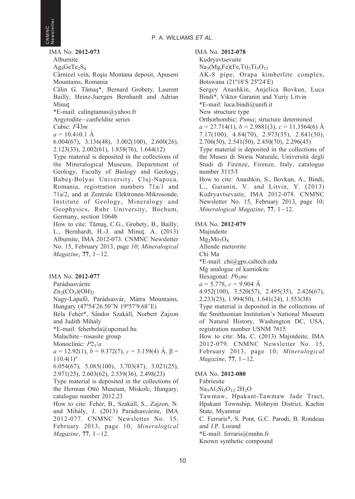IMA No. 2012-073 Alburnite  $Ag_8GeTe_2S_4$ Cârnicel vein, Roșia Montana deposit, Apuseni Mountains, Romania Călin G. Tămaş\*, Bernard Grobety, Laurent Bailly, Heinz-Juergen Bernhardt and Adrian Minut-

\*E-mail: calingtamas@yahoo.fr

Argyrodite-canfieldite series

Cubic:  $F\bar{4}3m$ 

 $a = 10.4 \pm 0.1 \text{ Å}$ 

6.004(67), 3.136(48), 3.002(100), 2.600(26), 2.123(33), 2.002(61), 1.838(76), 1.644(12)

Type material is deposited in the collections of the Mineralogical Museum, Department of Geology, Faculty of Biology and Geology, Babes--Bolyai University, Cluj-Napoca, Romania, registration numbers 71a/1 and 71a/2, and at Zentrale Elektronen-Mikrosonde, Institute of Geology, Mineralogy and Geophysics, Ruhr University, Bochum, Germany, section 1064b

How to cite: Tămaş, C.G., Grobety, B., Bailly, L., Bernhardt, H.-J. and Minuţ. A. (2013) Alburnite, IMA 2012-073. CNMNC Newsletter No. 15, February 2013, page 10; Mineralogical Magazine, 77, 1-12.

IMA No. 2012-077

Parádsasvárite

 $Zn_2(CO_3)(OH)_{2}$ 

Nagy-Lápafő, Parádsasvár, Mátra Mountains, Hungary (47º54'26.50''N 19º57'9.68''E)

Béla Fehér\*, Sándor Szakáll, Norbert Zajzon and Judith Mihály

\*E-mail: feherbela@upcmail.hu

Malachite-rosasite group

Monoclinic:  $P2<sub>1</sub>/a$ 

 $a = 12.92(1), b = 9.372(7), c = 3.159(4)$   $\AA$ ,  $\beta =$  $110.4(1)$ <sup>o</sup>

6.054(67), 5.085(100), 3.703(87), 3.021(25), 2.971(25), 2.603(62), 2.539(36), 2.498(23)

Type material is deposited in the collections of the Herman Ottó Museum, Miskolc, Hungary, catalogue number 2012.23

How to cite: Fehér, B., Szakáll, S., Zajzon, N. and Mihály, J. (2013) Parádsasvárite, IMA 2012-077. CNMNC Newsletter No. 15, February 2013, page 10; Mineralogical Magazine, 77, 1-12.

IMA No. 2012-078

Kudryavtsevaite

 $Na<sub>3</sub>(Mg,Fe)(Fe,Ti)<sub>2</sub>Ti<sub>3</sub>O<sub>12</sub>$ AK-8 pipe, Orapa kimberlite complex, Botswana (21º18'S 25º24'E) Sergey Anashkin, Anjelica Bovkun, Luca Bindi\*, Viktor Garanin and Yuriy Litvin \*E-mail: luca.bindi@unifi.it New structure type Orthorhombic: Pnma; structure determined  $a = 27.714(1), b = 2.9881(3), c = 11.3564(6)$  Å 7.17(100), 4.84(70), 2.973(35), 2.841(50), 2.706(50), 2.541(50), 2.450(70), 2.296(45) Type material is deposited in the collections of the Museo di Storia Naturale, Universita` degli Studi di Firenze, Firenze, Italy, catalogue number 3115/I How to cite: Anashkin, S., Bovkun, A., Bindi,

L., Garanin, V. and Litvin, Y. (2013) Kudryavtsevaite, IMA 2012-078. CNMNC Newsletter No. 15, February 2013, page 10; Mineralogical Magazine, 77, 1-12.

IMA No. 2012-079

Majindeite  $Mg<sub>2</sub>Mo<sub>3</sub>O<sub>8</sub>$ Allende meteorite Chi Ma \*E-mail: chi@gps.caltech.edu Mg analogue of kamiokite Hexagonal: P63mc  $a = 5.778$ ,  $c = 9.904$  Å 4.952(100), 3.520(57), 2.495(35), 2.426(67), 2.233(23), 1.994(50), 1.641(24), 1.553(38) Type material is deposited in the collections of the Smithsonian Institution's National Museum of Natural History, Washington DC, USA, registration number USNM 7615 How to cite: Ma, C. (2013) Majindeite, IMA 2012-079. CNMNC Newsletter No. 15, February 2013, page 10; Mineralogical Magazine, 77, 1-12.

#### IMA No. 2012-080

Fabriesite  $Na<sub>3</sub>Al<sub>3</sub>Si<sub>3</sub>O<sub>12</sub>·2H<sub>2</sub>O$ Tawmaw, Hpakant-Tawmaw Jade Tract, Hpakant Township, Mohnyin District, Kachin State, Myanmar C. Ferraris\*, S. Pont, G.C. Parodi, B. Rondeau and J.P. Lorand \*E-mail: ferraris@mnhn.fr Known synthetic compound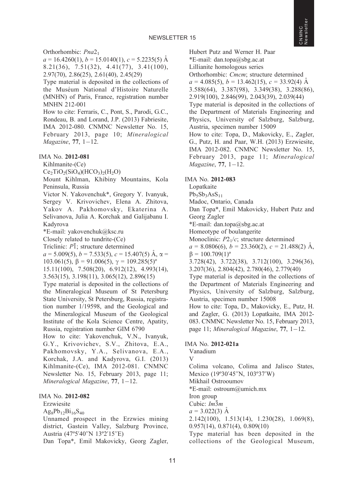Orthorhombic: Pna2<sub>1</sub>

 $a = 16.4260(1)$ ,  $b = 15.0140(1)$ ,  $c = 5.2235(5)$  Å 8.21(36), 7.51(32), 4.41(77), 3.41(100), 2.97(70), 2.86(25), 2.61(40), 2.45(29)

Type material is deposited in the collections of the Muséum National d'Histoire Naturelle (MNHN) of Paris, France, registration number MNHN 212-001

How to cite: Ferraris, C., Pont, S., Parodi, G.C., Rondeau, B. and Lorand, J.P. (2013) Fabriesite, IMA 2012-080. CNMNC Newsletter No. 15, February 2013, page 10; Mineralogical Magazine, 77, 1-12.

IMA No. 2012-081

Kihlmanite-(Ce)

 $Ce<sub>2</sub>TiO<sub>2</sub>(SiO<sub>4</sub>)(HCO<sub>3</sub>)<sub>2</sub>(H<sub>2</sub>O)$ 

Mount Kihlman, Khibiny Mountains, Kola Peninsula, Russia

Victor N. Yakovenchuk\*, Gregory Y. Ivanyuk, Sergey V. Krivovichev, Elena A. Zhitova, Yakov A. Pakhomovsky, Ekaterina A. Selivanova, Julia A. Korchak and Galijabanu I. Kadyrova

\*E-mail: yakovenchuk@ksc.ru

Closely related to tundrite-(Ce)

Triclinic:  $P\bar{1}$ ; structure determined

 $a = 5.009(5)$ ,  $b = 7.533(5)$ ,  $c = 15.407(5)$  Å,  $\alpha =$ 

103.061(5),  $\beta$  = 91.006(5),  $\gamma$  = 109.285(5)<sup>o</sup>

15.11(100), 7.508(20), 6.912(12), 4.993(14), 3.563(15), 3.198(11), 3.065(12), 2.896(15)

Type material is deposited in the collections of the Mineralogical Museum of St Petersburg State University, St Petersburg, Russia, registration number 1/19598, and the Geological and the Mineralogical Museum of the Geological Institute of the Kola Science Centre, Apatity, Russia, registration number GIM 6790

How to cite: Yakovenchuk, V.N., Ivanyuk, G.Y., Krivovichev, S.V., Zhitova, E.A., Pakhomovsky, Y.A., Selivanova, E.A., Korchak, J.A. and Kadyrova, G.I. (2013) Kihlmanite-(Ce), IMA 2012-081. CNMNC Newsletter No. 15, February 2013, page 11; Mineralogical Magazine, 77, 1-12.

#### IMA No. 2012-082

Erzwiesite

 $Ag_8Pb_{12}Bi_{16}S_{40}$ 

Unnamed prospect in the Erzwies mining district, Gastein Valley, Salzburg Province, Austria (47º5'40''N 13º2'15''E)

Dan Topa\*, Emil Makovicky, Georg Zagler,

Hubert Putz and Werner H. Paar \*E-mail: dan.topa@sbg.ac.at Lillianite homologous series Orthorhombic: Cmcm; structure determined  $a = 4.085(5), b = 13.462(15), c = 33.92(4)$  Å 3.588(64), 3.387(98), 3.349(38), 3.288(86), 2.919(100), 2.846(99), 2.043(39), 2.039(44) Type material is deposited in the collections of the Department of Materials Engineering and Physics, University of Salzburg, Salzburg, Austria, specimen number 15009 How to cite: Topa, D., Makovicky, E., Zagler, G., Putz, H. and Paar, W.H. (2013) Erzwiesite, IMA 2012-082. CNMNC Newsletter No. 15, February 2013, page 11; Mineralogical Magazine, 77, 1-12. CNMNC<br>Newsletter

Newsletter

#### IMA No. 2012-083

Lopatkaite

 $Pb_5Sb_3AsS_{11}$ 

Madoc, Ontario, Canada

Dan Topa\*, Emil Makovicky, Hubert Putz and Georg Zagler

\*E-mail: dan.topa@sbg.ac.at

Homeotype of boulangerite

Monoclinic:  $P2<sub>1</sub>/c$ ; structure determined

 $a = 8.0806(6), b = 23.360(2), c = 21.488(2)$  Å,  $\beta = 100.709(1)^{\circ}$ 

3.728(42), 3.722(38), 3.712(100), 3.296(36), 3.207(36), 2.804(42), 2.780(46), 2.779(40)

Type material is deposited in the collections of the Department of Materials Engineering and Physics, University of Salzburg, Salzburg, Austria, specimen number 15008

How to cite: Topa, D., Makovicky, E., Putz, H. and Zagler, G. (2013) Lopatkaite, IMA 2012- 083. CNMNC Newsletter No. 15, February 2013, page 11; Mineralogical Magazine, 77, 1-12.

# IMA No. 2012-021a

Vanadium V Colima volcano, Colima and Jalisco States, Mexico (19º30'45''N, 103º37'W) Mikhail Ostrooumov \*E-mail: ostroum@umich.mx Iron group Cubic:  $Im\overline{3}m$  $a = 3.022(3)$  Å 2.142(100), 1.513(14), 1.230(28), 1.069(8), 0.957(14), 0.871(4), 0.809(10) Type material has been deposited in the collections of the Geological Museum,